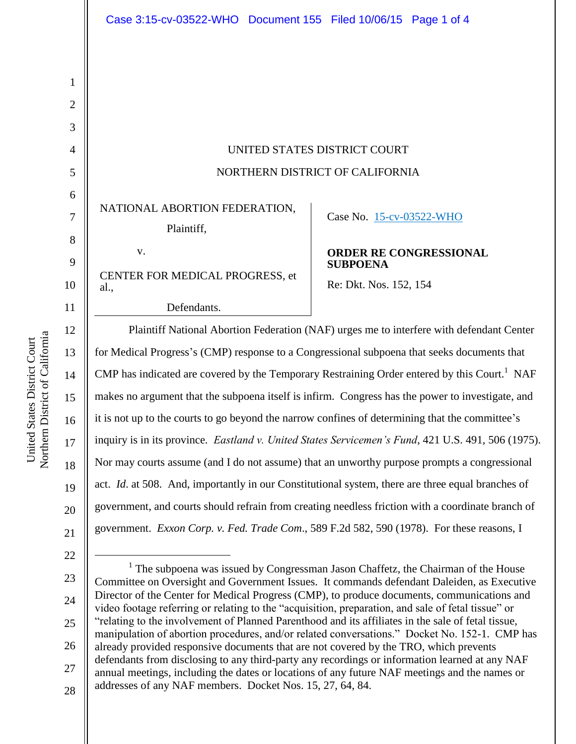| UNITED STATES DISTRICT COURT    |
|---------------------------------|
| NORTHERN DISTRICT OF CALIFORNIA |

NATIONAL ABORTION FEDERATION,

Plaintiff,

v.

Case No. [15-cv-03522-WHO](https://ecf.cand.uscourts.gov/cgi-bin/DktRpt.pl?289894) 

CENTER FOR MEDICAL PROGRESS, et

Defendants.

## **ORDER RE CONGRESSIONAL SUBPOENA**

Re: Dkt. Nos. 152, 154

Plaintiff National Abortion Federation (NAF) urges me to interfere with defendant Center for Medical Progress's (CMP) response to a Congressional subpoena that seeks documents that CMP has indicated are covered by the Temporary Restraining Order entered by this Court.<sup>1</sup> NAF makes no argument that the subpoena itself is infirm. Congress has the power to investigate, and it is not up to the courts to go beyond the narrow confines of determining that the committee's inquiry is in its province. *Eastland v. United States Servicemen's Fund*, 421 U.S. 491, 506 (1975). Nor may courts assume (and I do not assume) that an unworthy purpose prompts a congressional act. *Id*. at 508. And, importantly in our Constitutional system, there are three equal branches of government, and courts should refrain from creating needless friction with a coordinate branch of government. *Exxon Corp. v. Fed. Trade Com*., 589 F.2d 582, 590 (1978). For these reasons, I

21 22

 $\overline{a}$ 

1

2

3

4

5

6

7

8

9

10

al.,

11

12

13

14

15

16

17

18

19

20

- 23
- 24 25

26

27

28

<sup>1</sup> The subpoena was issued by Congressman Jason Chaffetz, the Chairman of the House Committee on Oversight and Government Issues. It commands defendant Daleiden, as Executive Director of the Center for Medical Progress (CMP), to produce documents, communications and video footage referring or relating to the "acquisition, preparation, and sale of fetal tissue" or "relating to the involvement of Planned Parenthood and its affiliates in the sale of fetal tissue, manipulation of abortion procedures, and/or related conversations." Docket No. 152-1. CMP has already provided responsive documents that are not covered by the TRO, which prevents defendants from disclosing to any third-party any recordings or information learned at any NAF annual meetings, including the dates or locations of any future NAF meetings and the names or addresses of any NAF members. Docket Nos. 15, 27, 64, 84.

Northern District of California Northern District of California United States District Court United States District Court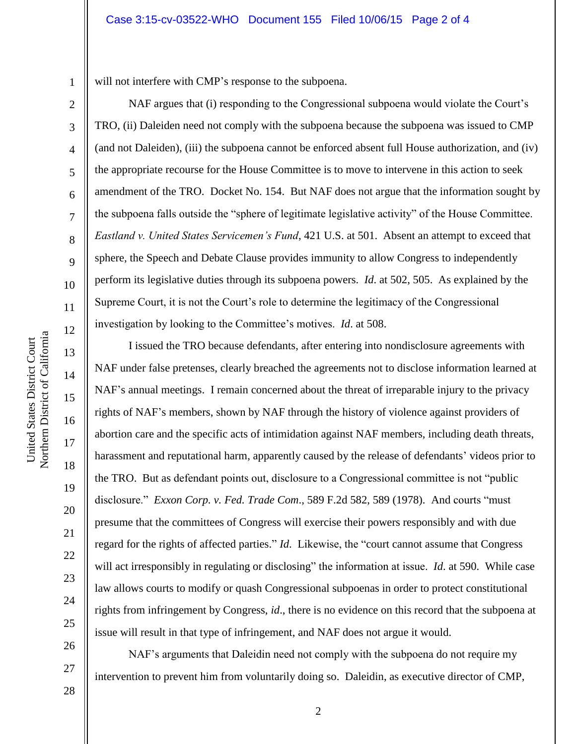will not interfere with CMP's response to the subpoena.

NAF argues that (i) responding to the Congressional subpoena would violate the Court's TRO, (ii) Daleiden need not comply with the subpoena because the subpoena was issued to CMP (and not Daleiden), (iii) the subpoena cannot be enforced absent full House authorization, and (iv) the appropriate recourse for the House Committee is to move to intervene in this action to seek amendment of the TRO. Docket No. 154. But NAF does not argue that the information sought by the subpoena falls outside the "sphere of legitimate legislative activity" of the House Committee. *Eastland v. United States Servicemen's Fund*, 421 U.S. at 501. Absent an attempt to exceed that sphere, the Speech and Debate Clause provides immunity to allow Congress to independently perform its legislative duties through its subpoena powers. *Id*. at 502, 505. As explained by the Supreme Court, it is not the Court's role to determine the legitimacy of the Congressional investigation by looking to the Committee's motives. *Id*. at 508.

I issued the TRO because defendants, after entering into nondisclosure agreements with NAF under false pretenses, clearly breached the agreements not to disclose information learned at NAF's annual meetings. I remain concerned about the threat of irreparable injury to the privacy rights of NAF's members, shown by NAF through the history of violence against providers of abortion care and the specific acts of intimidation against NAF members, including death threats, harassment and reputational harm, apparently caused by the release of defendants' videos prior to the TRO. But as defendant points out, disclosure to a Congressional committee is not "public disclosure." *Exxon Corp. v. Fed. Trade Com*., 589 F.2d 582, 589 (1978). And courts "must presume that the committees of Congress will exercise their powers responsibly and with due regard for the rights of affected parties." *Id*. Likewise, the "court cannot assume that Congress will act irresponsibly in regulating or disclosing" the information at issue. *Id*. at 590. While case law allows courts to modify or quash Congressional subpoenas in order to protect constitutional rights from infringement by Congress, *id*., there is no evidence on this record that the subpoena at issue will result in that type of infringement, and NAF does not argue it would.

NAF's arguments that Daleidin need not comply with the subpoena do not require my intervention to prevent him from voluntarily doing so. Daleidin, as executive director of CMP,

4

5

6

7

8

9

10

11

12

13

14

15

16

17

18

19

20

21

22

23

24

25

26

27

28

1

2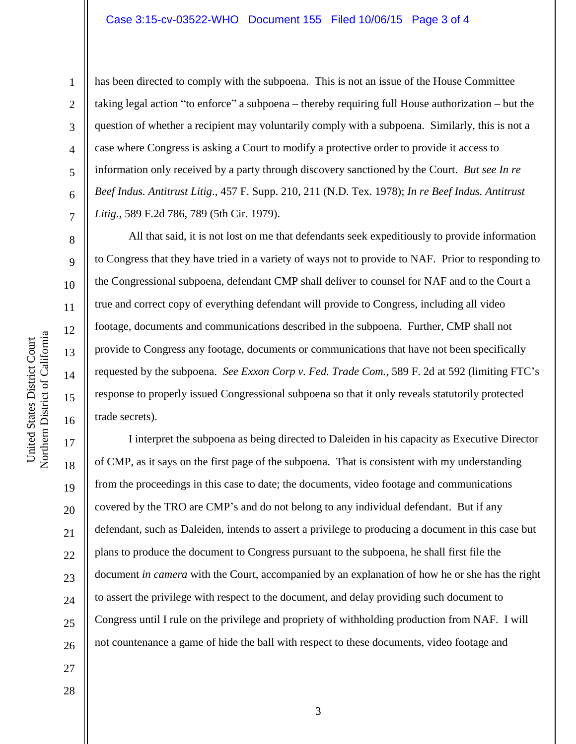has been directed to comply with the subpoena. This is not an issue of the House Committee taking legal action "to enforce" a subpoena – thereby requiring full House authorization – but the question of whether a recipient may voluntarily comply with a subpoena. Similarly, this is not a case where Congress is asking a Court to modify a protective order to provide it access to information only received by a party through discovery sanctioned by the Court. *But see In re Beef Indus. Antitrust Litig*., 457 F. Supp. 210, 211 (N.D. Tex. 1978); *In re Beef Indus. Antitrust Litig*., 589 F.2d 786, 789 (5th Cir. 1979).

All that said, it is not lost on me that defendants seek expeditiously to provide information to Congress that they have tried in a variety of ways not to provide to NAF. Prior to responding to the Congressional subpoena, defendant CMP shall deliver to counsel for NAF and to the Court a true and correct copy of everything defendant will provide to Congress, including all video footage, documents and communications described in the subpoena. Further, CMP shall not provide to Congress any footage, documents or communications that have not been specifically requested by the subpoena. *See Exxon Corp v. Fed. Trade Com.,* 589 F. 2d at 592 (limiting FTC's response to properly issued Congressional subpoena so that it only reveals statutorily protected trade secrets).

20 22 26 I interpret the subpoena as being directed to Daleiden in his capacity as Executive Director of CMP, as it says on the first page of the subpoena. That is consistent with my understanding from the proceedings in this case to date; the documents, video footage and communications covered by the TRO are CMP's and do not belong to any individual defendant. But if any defendant, such as Daleiden, intends to assert a privilege to producing a document in this case but plans to produce the document to Congress pursuant to the subpoena, he shall first file the document *in camera* with the Court, accompanied by an explanation of how he or she has the right to assert the privilege with respect to the document, and delay providing such document to Congress until I rule on the privilege and propriety of withholding production from NAF. I will not countenance a game of hide the ball with respect to these documents, video footage and

27 28

Northern District of California Northern District of California United States District Court United States District Court

1

2

3

4

5

6

7

8

9

10

11

12

13

14

15

16

17

18

19

21

23

24

25